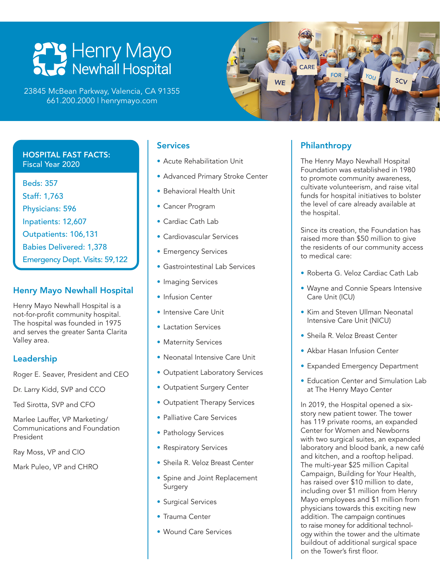# **PPP Henry Mayo**<br>
Newhall Hospital

23845 McBean Parkway, Valencia, CA 91355 661.200.2000 | henrymayo.com

#### HOSPITAL FAST FACTS: Fiscal Year 2020

Beds: 357 Staff: 1,763 Physicians: 596 Inpatients: 12,607 Outpatients: 106,131 Babies Delivered: 1,378 Emergency Dept. Visits: 59,122

### Henry Mayo Newhall Hospital

Henry Mayo Newhall Hospital is a not-for-profit community hospital. The hospital was founded in 1975 and serves the greater Santa Clarita Valley area.

### Leadership

Roger E. Seaver, President and CEO

Dr. Larry Kidd, SVP and CCO

Ted Sirotta, SVP and CFO

Marlee Lauffer, VP Marketing/ Communications and Foundation President

Ray Moss, VP and CIO

Mark Puleo, VP and CHRO

### **Services**

- Acute Rehabilitation Unit
- Advanced Primary Stroke Center
- Behavioral Health Unit
- Cancer Program
- Cardiac Cath Lab
- Cardiovascular Services
- Emergency Services
- Gastrointestinal Lab Services
- Imaging Services
- Infusion Center
- Intensive Care Unit
- Lactation Services
- Maternity Services
- Neonatal Intensive Care Unit
- Outpatient Laboratory Services
- Outpatient Surgery Center
- Outpatient Therapy Services
- Palliative Care Services
- Pathology Services
- Respiratory Services
- Sheila R. Veloz Breast Center
- Spine and Joint Replacement **Surgery**
- Surgical Services
- Trauma Center
- Wound Care Services

### Philanthropy

The Henry Mayo Newhall Hospital Foundation was established in 1980 to promote community awareness, cultivate volunteerism, and raise vital funds for hospital initiatives to bolster the level of care already available at the hospital.

Since its creation, the Foundation has raised more than \$50 million to give the residents of our community access to medical care:

- Roberta G. Veloz Cardiac Cath Lab
- Wayne and Connie Spears Intensive Care Unit (ICU)
- Kim and Steven Ullman Neonatal Intensive Care Unit (NICU)
- Sheila R. Veloz Breast Center
- Akbar Hasan Infusion Center
- Expanded Emergency Department
- Education Center and Simulation Lab at The Henry Mayo Center

In 2019, the Hospital opened a sixstory new patient tower. The tower has 119 private rooms, an expanded Center for Women and Newborns with two surgical suites, an expanded laboratory and blood bank, a new café and kitchen, and a rooftop helipad. The multi-year \$25 million Capital Campaign, Building for Your Health, has raised over \$10 million to date, including over \$1 million from Henry Mayo employees and \$1 million from physicians towards this exciting new addition. The campaign continues to raise money for additional technology within the tower and the ultimate buildout of additional surgical space on the Tower's first floor.